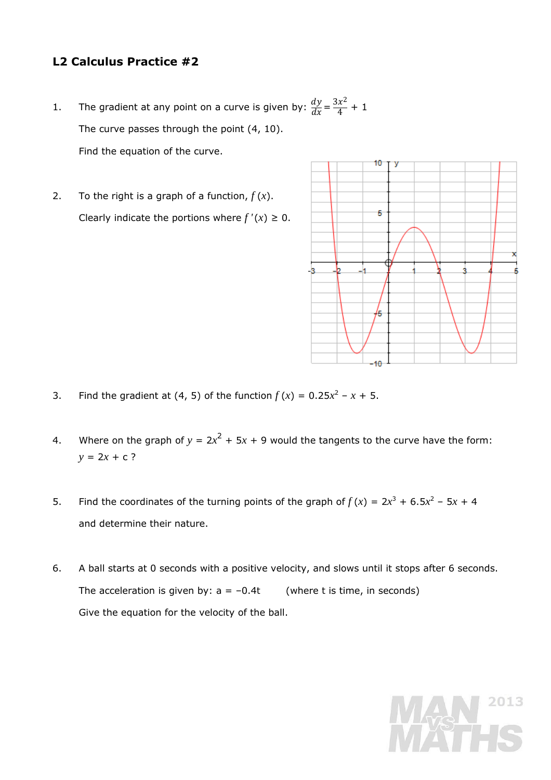## **L2 Calculus Practice #2**

- 1. The gradient at any point on a curve is given by:  $\frac{dy}{dx} = \frac{3x^2}{4} + 1$ The curve passes through the point  $(4, 10)$ . Find the equation of the curve.
- 2. To the right is a graph of a function,  $f(x)$ . Clearly indicate the portions where  $f'(x) \geq 0$ .



- 3. Find the gradient at (4, 5) of the function  $f(x) = 0.25x^2 x + 5$ .
- 4. Where on the graph of  $y = 2x^2 + 5x + 9$  would the tangents to the curve have the form:  $y = 2x + c$ ?
- 5. Find the coordinates of the turning points of the graph of  $f(x) = 2x^3 + 6.5x^2 5x + 4$ and determine their nature.
- 6. A ball starts at 0 seconds with a positive velocity, and slows until it stops after 6 seconds. The acceleration is given by:  $a = -0.4t$  (where *t* is time, in seconds) Give the equation for the velocity of the ball.